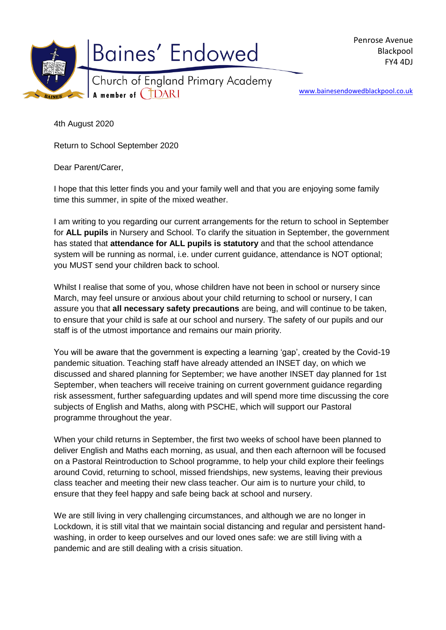

www.bainesendowedblackpool.co.uk

4th August 2020

Return to School September 2020

Dear Parent/Carer,

I hope that this letter finds you and your family well and that you are enjoying some family time this summer, in spite of the mixed weather.

I am writing to you regarding our current arrangements for the return to school in September for **ALL pupils** in Nursery and School. To clarify the situation in September, the government has stated that **attendance for ALL pupils is statutory** and that the school attendance system will be running as normal, i.e. under current guidance, attendance is NOT optional; you MUST send your children back to school.

Whilst I realise that some of you, whose children have not been in school or nursery since March, may feel unsure or anxious about your child returning to school or nursery, I can assure you that **all necessary safety precautions** are being, and will continue to be taken, to ensure that your child is safe at our school and nursery. The safety of our pupils and our staff is of the utmost importance and remains our main priority.

You will be aware that the government is expecting a learning 'gap', created by the Covid-19 pandemic situation. Teaching staff have already attended an INSET day, on which we discussed and shared planning for September; we have another INSET day planned for 1st September, when teachers will receive training on current government guidance regarding risk assessment, further safeguarding updates and will spend more time discussing the core subjects of English and Maths, along with PSCHE, which will support our Pastoral programme throughout the year.

When your child returns in September, the first two weeks of school have been planned to deliver English and Maths each morning, as usual, and then each afternoon will be focused on a Pastoral Reintroduction to School programme, to help your child explore their feelings around Covid, returning to school, missed friendships, new systems, leaving their previous class teacher and meeting their new class teacher. Our aim is to nurture your child, to ensure that they feel happy and safe being back at school and nursery.

We are still living in very challenging circumstances, and although we are no longer in Lockdown, it is still vital that we maintain social distancing and regular and persistent handwashing, in order to keep ourselves and our loved ones safe: we are still living with a pandemic and are still dealing with a crisis situation.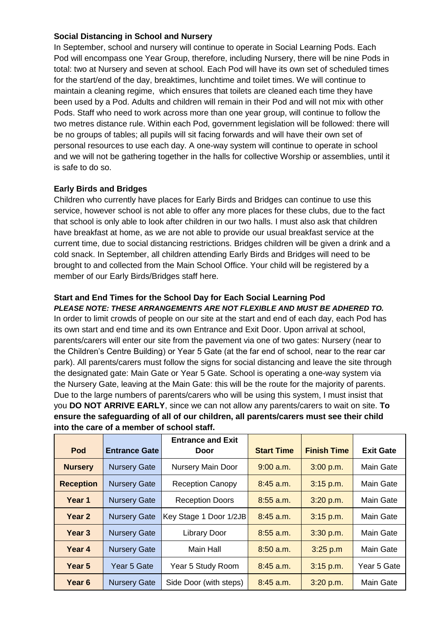## **Social Distancing in School and Nursery**

In September, school and nursery will continue to operate in Social Learning Pods. Each Pod will encompass one Year Group, therefore, including Nursery, there will be nine Pods in total: two at Nursery and seven at school. Each Pod will have its own set of scheduled times for the start/end of the day, breaktimes, lunchtime and toilet times. We will continue to maintain a cleaning regime, which ensures that toilets are cleaned each time they have been used by a Pod. Adults and children will remain in their Pod and will not mix with other Pods. Staff who need to work across more than one year group, will continue to follow the two metres distance rule. Within each Pod, government legislation will be followed: there will be no groups of tables; all pupils will sit facing forwards and will have their own set of personal resources to use each day. A one-way system will continue to operate in school and we will not be gathering together in the halls for collective Worship or assemblies, until it is safe to do so.

## **Early Birds and Bridges**

Children who currently have places for Early Birds and Bridges can continue to use this service, however school is not able to offer any more places for these clubs, due to the fact that school is only able to look after children in our two halls. I must also ask that children have breakfast at home, as we are not able to provide our usual breakfast service at the current time, due to social distancing restrictions. Bridges children will be given a drink and a cold snack. In September, all children attending Early Birds and Bridges will need to be brought to and collected from the Main School Office. Your child will be registered by a member of our Early Birds/Bridges staff here.

#### **Start and End Times for the School Day for Each Social Learning Pod** *PLEASE NOTE: THESE ARRANGEMENTS ARE NOT FLEXIBLE AND MUST BE ADHERED TO.*

In order to limit crowds of people on our site at the start and end of each day, each Pod has its own start and end time and its own Entrance and Exit Door. Upon arrival at school, parents/carers will enter our site from the pavement via one of two gates: Nursery (near to the Children's Centre Building) or Year 5 Gate (at the far end of school, near to the rear car park). All parents/carers must follow the signs for social distancing and leave the site through the designated gate: Main Gate or Year 5 Gate. School is operating a one-way system via the Nursery Gate, leaving at the Main Gate: this will be the route for the majority of parents. Due to the large numbers of parents/carers who will be using this system, I must insist that you **DO NOT ARRIVE EARLY**, since we can not allow any parents/carers to wait on site. **To ensure the safeguarding of all of our children, all parents/carers must see their child into the care of a member of school staff.**

| Pod               | <b>Entrance Gate</b> | <b>Entrance and Exit</b><br>Door | <b>Start Time</b> | <b>Finish Time</b> | <b>Exit Gate</b> |
|-------------------|----------------------|----------------------------------|-------------------|--------------------|------------------|
| <b>Nursery</b>    | <b>Nursery Gate</b>  | Nursery Main Door                | $9:00$ a.m.       | 3:00 p.m.          | Main Gate        |
| <b>Reception</b>  | <b>Nursery Gate</b>  | <b>Reception Canopy</b>          | $8:45$ a.m.       | $3:15$ p.m.        | Main Gate        |
| Year 1            | <b>Nursery Gate</b>  | <b>Reception Doors</b>           | $8:55$ a.m.       | 3:20 p.m.          | Main Gate        |
| Year <sub>2</sub> | <b>Nursery Gate</b>  | Key Stage 1 Door 1/2JB           | $8:45$ a.m.       | $3:15$ p.m.        | Main Gate        |
| Year <sub>3</sub> | <b>Nursery Gate</b>  | <b>Library Door</b>              | $8:55$ a.m.       | 3:30 p.m.          | Main Gate        |
| Year 4            | <b>Nursery Gate</b>  | Main Hall                        | $8:50$ a.m.       | 3:25 p.m           | Main Gate        |
| Year <sub>5</sub> | Year 5 Gate          | Year 5 Study Room                | $8:45$ a.m.       | 3:15 p.m.          | Year 5 Gate      |
| Year 6            | <b>Nursery Gate</b>  | Side Door (with steps)           | $8:45$ a.m.       | 3:20 p.m.          | <b>Main Gate</b> |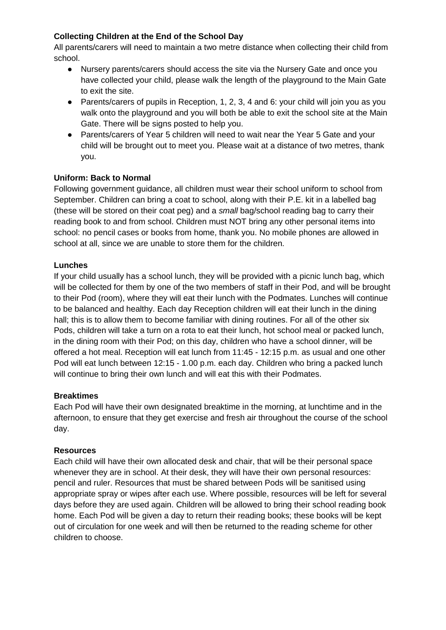# **Collecting Children at the End of the School Day**

All parents/carers will need to maintain a two metre distance when collecting their child from school.

- Nursery parents/carers should access the site via the Nursery Gate and once you have collected your child, please walk the length of the playground to the Main Gate to exit the site.
- Parents/carers of pupils in Reception, 1, 2, 3, 4 and 6: your child will join you as you walk onto the playground and you will both be able to exit the school site at the Main Gate. There will be signs posted to help you.
- Parents/carers of Year 5 children will need to wait near the Year 5 Gate and your child will be brought out to meet you. Please wait at a distance of two metres, thank you.

## **Uniform: Back to Normal**

Following government guidance, all children must wear their school uniform to school from September. Children can bring a coat to school, along with their P.E. kit in a labelled bag (these will be stored on their coat peg) and a *small* bag/school reading bag to carry their reading book to and from school. Children must NOT bring any other personal items into school: no pencil cases or books from home, thank you. No mobile phones are allowed in school at all, since we are unable to store them for the children.

## **Lunches**

If your child usually has a school lunch, they will be provided with a picnic lunch bag, which will be collected for them by one of the two members of staff in their Pod, and will be brought to their Pod (room), where they will eat their lunch with the Podmates. Lunches will continue to be balanced and healthy. Each day Reception children will eat their lunch in the dining hall; this is to allow them to become familiar with dining routines. For all of the other six Pods, children will take a turn on a rota to eat their lunch, hot school meal or packed lunch, in the dining room with their Pod; on this day, children who have a school dinner, will be offered a hot meal. Reception will eat lunch from 11:45 - 12:15 p.m. as usual and one other Pod will eat lunch between 12:15 - 1.00 p.m. each day. Children who bring a packed lunch will continue to bring their own lunch and will eat this with their Podmates.

### **Breaktimes**

Each Pod will have their own designated breaktime in the morning, at lunchtime and in the afternoon, to ensure that they get exercise and fresh air throughout the course of the school day.

### **Resources**

Each child will have their own allocated desk and chair, that will be their personal space whenever they are in school. At their desk, they will have their own personal resources: pencil and ruler. Resources that must be shared between Pods will be sanitised using appropriate spray or wipes after each use. Where possible, resources will be left for several days before they are used again. Children will be allowed to bring their school reading book home. Each Pod will be given a day to return their reading books; these books will be kept out of circulation for one week and will then be returned to the reading scheme for other children to choose.